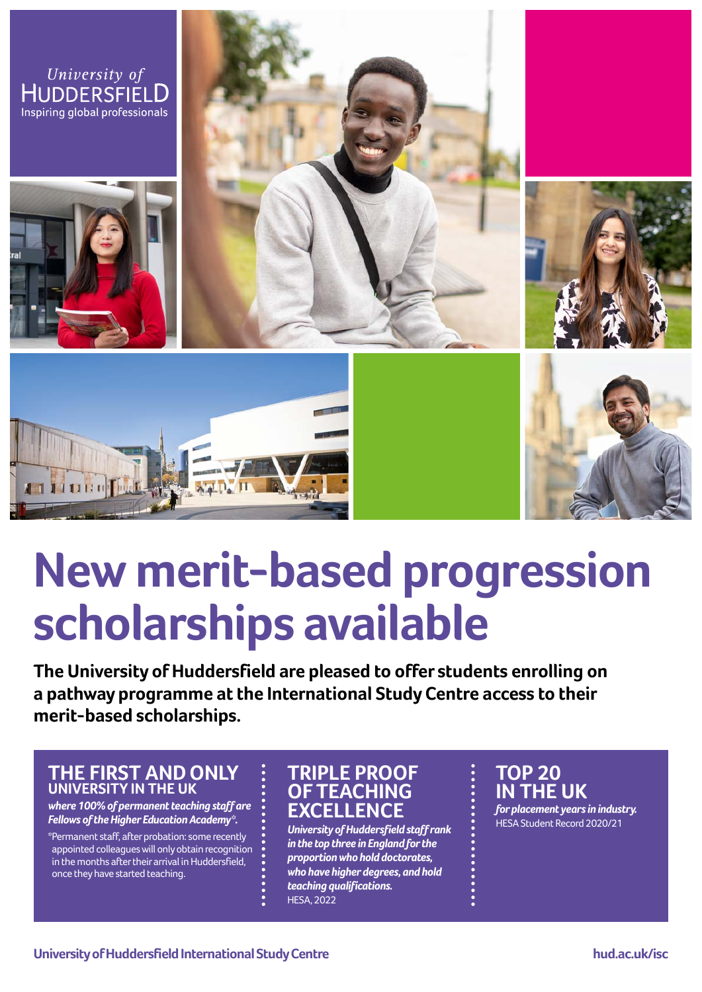

# **New merit-based progression scholarships available**

**The University of Huddersfield are pleased to offer students enrolling on a pathway programme at the International Study Centre access to their merit-based scholarships.** 

### **THE FIRST AND ONLY UNIVERSITY IN THE UK**

*where 100% of permanent teaching staff are Fellows of the Higher Education Academy\*.* 

\*Permanent staff, after probation: some recently appointed colleagues will only obtain recognition in the months after their arrival in Huddersfield, once they have started teaching.

# **TRIPLE PROOF OF TEACHING EXCELLENCE**

*University of Huddersfield staff rank in the top three in England for the proportion who hold doctorates, who have higher degrees, and hold teaching qualifications.* HESA, 2022

# **TOP 20 IN THE UK**

*for placement years in industry.*  HESA Student Record 2020/21